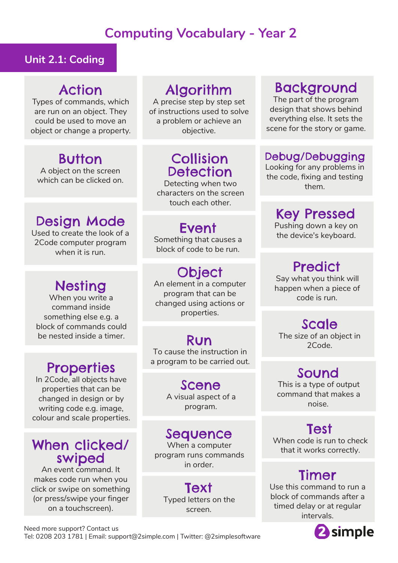# **Computing Vocabulary - Year 2**

#### **Unit 2.1: Coding**

#### Action

Types of commands, which are run on an object. They could be used to move an object or change a property.

# **Button**

A object on the screen which can be clicked on.

#### Design Mode

Used to create the look of a 2Code computer program when it is run.

# Nesting

When you write a command inside something else e.g. a block of commands could be nested inside a timer.

# **Properties**

In 2Code, all objects have properties that can be changed in design or by writing code e.g. image, colour and scale properties.

#### When clicked/ swiped

An event command. It makes code run when you click or swipe on something (or press/swipe your finger on a touchscreen).

# Algorithm

A precise step by step set of instructions used to solve a problem or achieve an objective.

# Collision **Detection**

Detecting when two characters on the screen touch each other.

Something that causes a block of code to be run.

# **Object**

An element in a computer program that can be changed using actions or properties.

#### Run

To cause the instruction in a program to be carried out.

#### Scene A visual aspect of a

program.

#### Sequence

When a computer program runs commands in order.

**Text** Typed letters on the screen.

# Background

The part of the program design that shows behind everything else. It sets the scene for the story or game.

#### Debug/Debugging

Looking for any problems in the code, fixing and testing them.

# Key Pressed

Pushing down a key on **Event** Pushing down a key or<br>the device's keyboard.

# **Predict**

Say what you think will happen when a piece of code is run.

#### Scale

The size of an object in 2Code.

#### Sound

This is a type of output command that makes a noise.

## Test

When code is run to check that it works correctly.

# Timer

Use this command to run a block of commands after a timed delay or at regular intervals.



Need more support? Contact us Tel: 0208 203 1781 | Email: support@2simple.com | Twitter: @2simplesoftware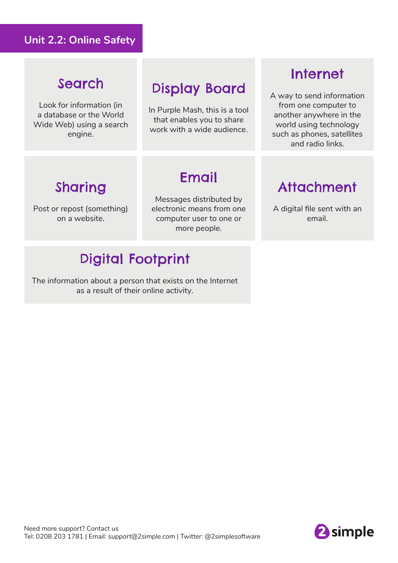#### **Unit 2.2: Online Safety**

## Search

Look for information (in a database or the World Wide Web) using a search engine.

# Display Board

In Purple Mash, this is a tool that enables you to share work with a wide audience.

# Internet

A way to send information from one computer to another anywhere in the world using technology such as phones, satellites and radio links.

# Sharing

Post or repost (something) on a website.

Messages distributed by electronic means from one computer user to one or more people.

Email

# Digital Footprint

The information about a person that exists on the Internet as a result of their online activity.

## Attachment

A digital file sent with an email.



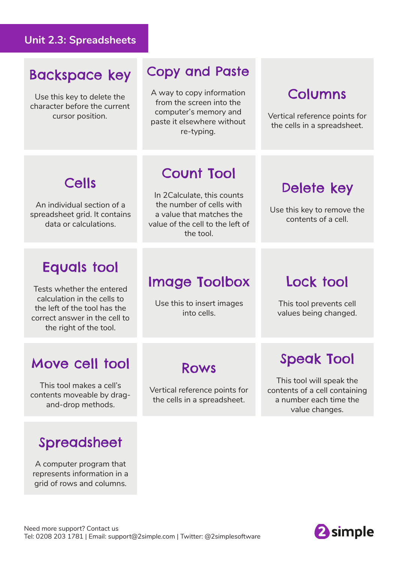#### **Unit 2.3: Spreadsheets**

#### Backspace key

Use this key to delete the character before the current cursor position.

## Copy and Paste

A way to copy information from the screen into the computer's memory and paste it elsewhere without re-typing.

## Columns

Vertical reference points for the cells in a spreadsheet.

# Cells

An individual section of a spreadsheet grid. It contains data or calculations.

# Count Tool

In 2Calculate, this counts the number of cells with a value that matches the value of the cell to the left of the tool.

# Delete key

Use this key to remove the contents of a cell.

## Equals tool

Tests whether the entered calculation in the cells to the left of the tool has the correct answer in the cell to the right of the tool.

## Image Toolbox

Use this to insert images into cells.

## Lock tool

This tool prevents cell values being changed.

#### Move cell tool

This tool makes a cell's contents moveable by dragand-drop methods.

#### Spreadsheet

A computer program that represents information in a grid of rows and columns.

## Rows

Vertical reference points for the cells in a spreadsheet.

# Speak Tool

This tool will speak the contents of a cell containing a number each time the value changes.

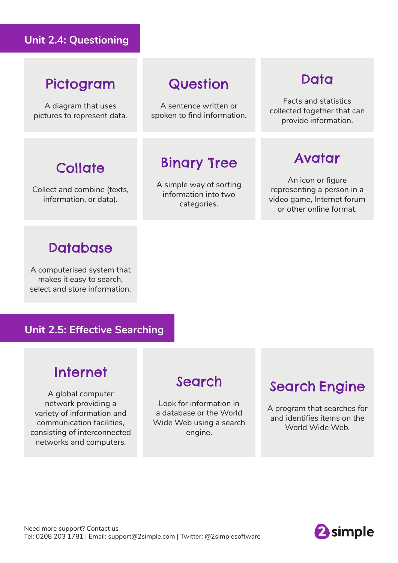#### **Unit 2.4: Questioning**

#### Pictogram

A diagram that uses pictures to represent data.

**Collate** 

Collect and combine (texts, information, or data).

# **Question**

A sentence written or spoken to find information.

# Binary Tree

A simple way of sorting information into two categories.

## **Data**

Facts and statistics collected together that can provide information.

#### Avatar

An icon or figure representing a person in a video game, Internet forum or other online format.

#### **Database**

A computerised system that makes it easy to search, select and store information.

#### **Unit 2.5: Effective Searching**

# Internet

A global computer network providing a variety of information and communication facilities, consisting of interconnected networks and computers.

# Search

Look for information in a database or the World Wide Web using a search engine.

# Search Engine

A program that searches for and identifies items on the World Wide Web.

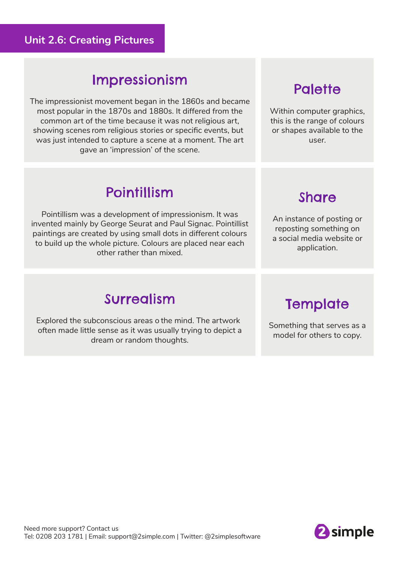#### **Unit 2.6: Creating Pictures**

#### Impressionism

The impressionist movement began in the 1860s and became most popular in the 1870s and 1880s. It differed from the common art of the time because it was not religious art, showing scenes rom religious stories or specific events, but was just intended to capture a scene at a moment. The art gave an 'impression' of the scene.

# **Palette**

Within computer graphics, this is the range of colours or shapes available to the user.

# Pointillism

Pointillism was a development of impressionism. It was invented mainly by George Seurat and Paul Signac. Pointillist paintings are created by using small dots in different colours to build up the whole picture. Colours are placed near each other rather than mixed.



An instance of posting or reposting something on a social media website or application.

## Surrealism

Explored the subconscious areas o the mind. The artwork often made little sense as it was usually trying to depict a dream or random thoughts.

**Template** 

Something that serves as a model for others to copy.